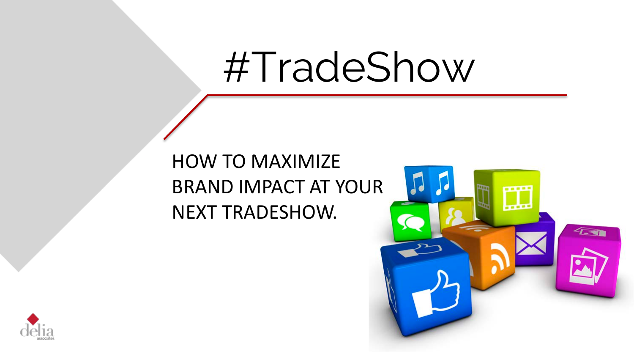## #TradeShow

### HOW TO MAXIMIZE BRAND IMPACT AT YOUR NEXT TRADESHOW.



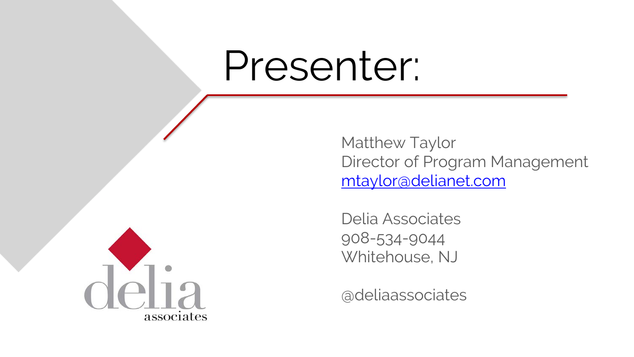### Presenter:

Matthew Taylor Director of Program Management [mtaylor@delianet.com](mailto:mtaylor@delianet.com)

Delia Associates 908-534-9044 Whitehouse, NJ

@deliaassociates

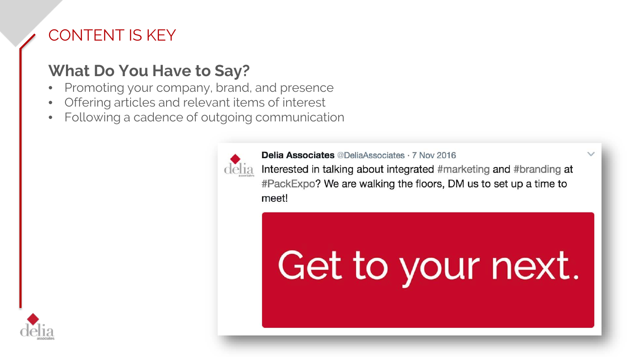#### CONTENT IS KEY

#### **What Do You Have to Say?**

- Promoting your company, brand, and presence
- Offering articles and relevant items of interest
- Following a cadence of outgoing communication



**Delia Associates @DeliaAssociates · 7 Nov 2016** Interested in talking about integrated #marketing and #branding at #PackExpo? We are walking the floors, DM us to set up a time to meet!

## Get to your next.

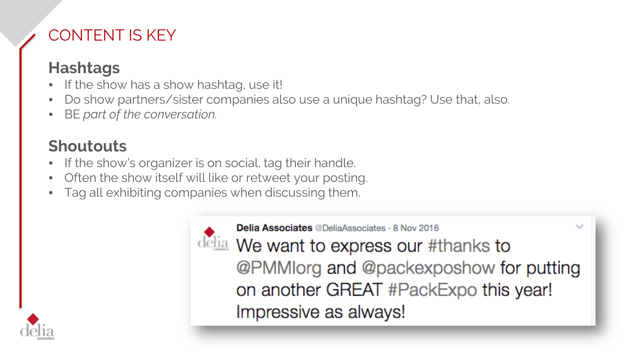#### CONTENT IS KEY

#### **Hashtags**

- If the show has a show hashtag, use it!
- Do show partners/sister companies also use a unique hashtag? Use that, also.
- BE *part of the conversation.*

#### **Shoutouts**

- If the show's organizer is on social, tag their handle.
- Often the show itself will like or retweet your posting.
- Tag all exhibiting companies when discussing them.



**Delia Associates @DeliaAssociates · 8 Nov 2016** delia We want to express our #thanks to @PMMlorg and @packexposhow for putting on another GREAT #PackExpo this year! Impressive as always!

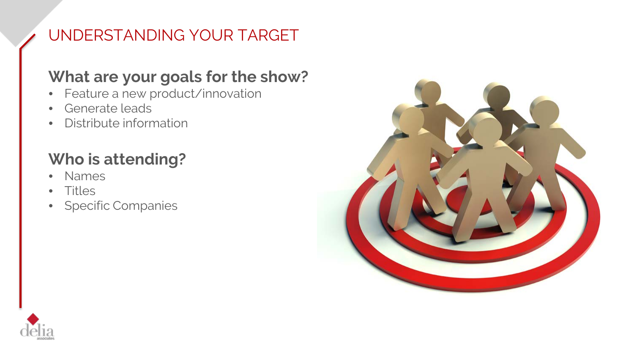#### UNDERSTANDING YOUR TARGET

#### **What are your goals for the show?**

- Feature a new product/innovation
- Generate leads
- Distribute information

### **Who is attending?**

- Names
- Titles
- Specific Companies



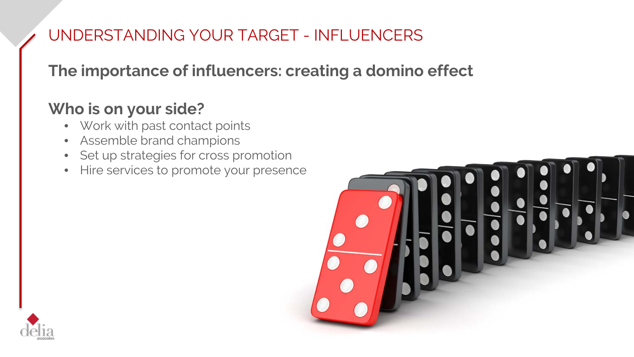#### UNDERSTANDING YOUR TARGET - INFLUENCERS

#### **The importance of influencers: creating a domino effect**

#### **Who is on your side?**

- Work with past contact points
- Assemble brand champions
- Set up strategies for cross promotion
- Hire services to promote your presence



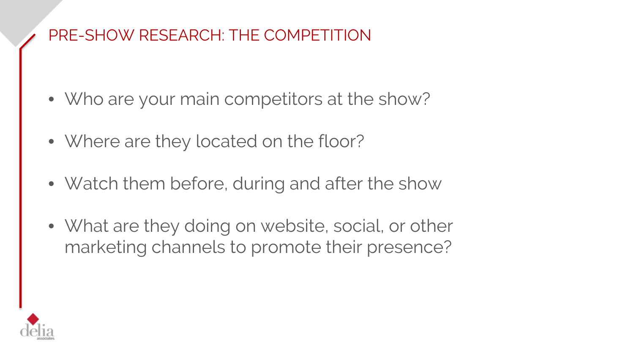#### PRE-SHOW RESEARCH: THE COMPETITION

- Who are your main competitors at the show?
- Where are they located on the floor?
- Watch them before, during and after the show
- What are they doing on website, social, or other marketing channels to promote their presence?

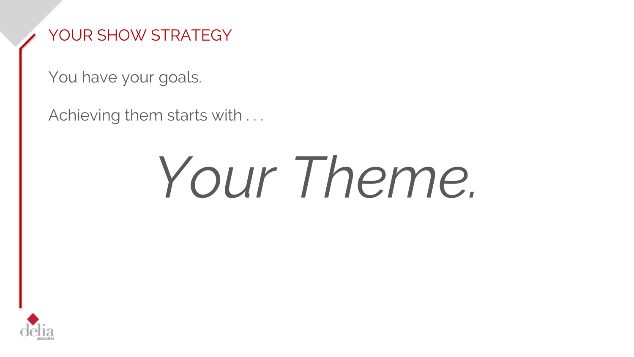#### YOUR SHOW STRATEGY

You have your goals.

Achieving them starts with ...

# *Your Theme.*

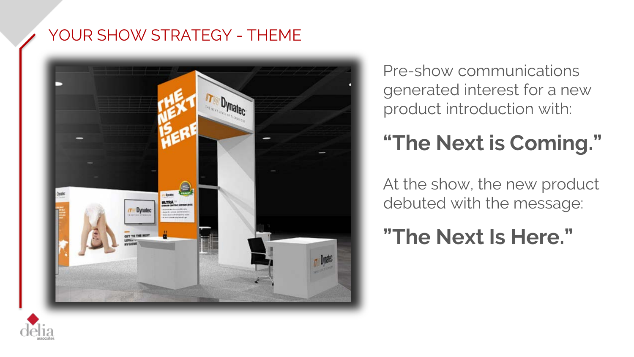#### YOUR SHOW STRATEGY - THEME



Pre-show communications generated interest for a new product introduction with:

### **"The Next is Coming."**

At the show, the new product debuted with the message:

**"The Next Is Here."**

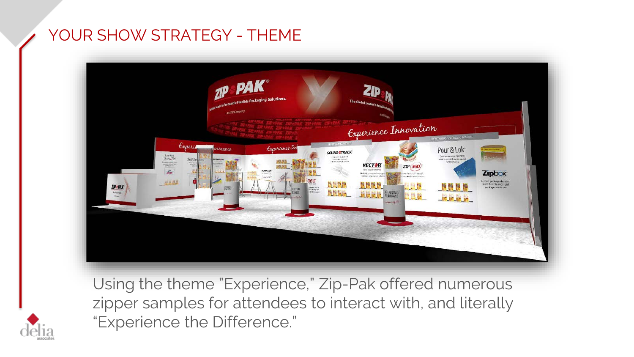#### YOUR SHOW STRATEGY - THEME



Using the theme "Experience," Zip-Pak offered numerous zipper samples for attendees to interact with, and literally "Experience the Difference."

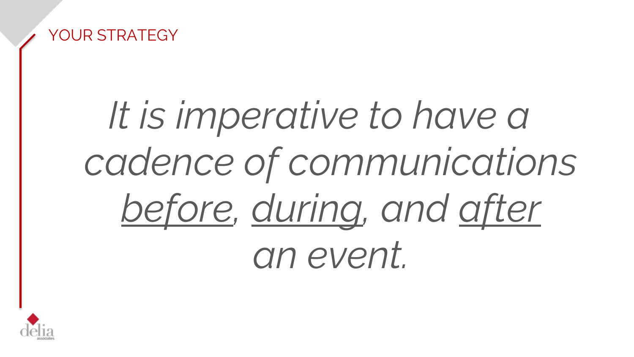

## *It is imperative to have a cadence of communications before, during, and after an event.*

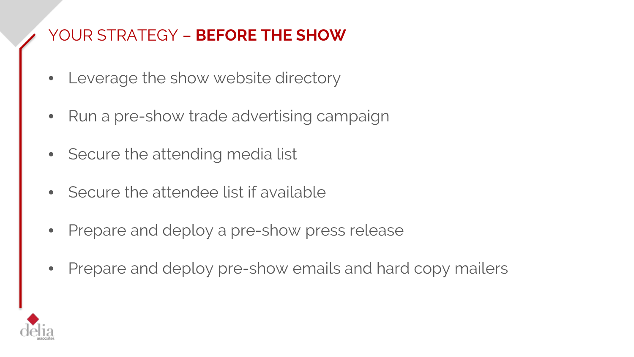- Leverage the show website directory
- Run a pre-show trade advertising campaign
- Secure the attending media list
- Secure the attendee list if available
- Prepare and deploy a pre-show press release
- Prepare and deploy pre-show emails and hard copy mailers

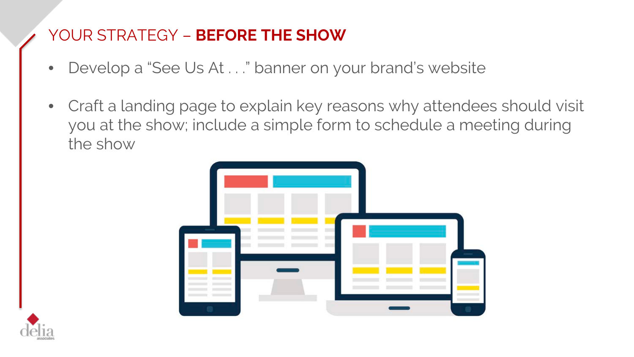- Develop a "See Us At . . ." banner on your brand's website
- Craft a landing page to explain key reasons why attendees should visit you at the show; include a simple form to schedule a meeting during the show



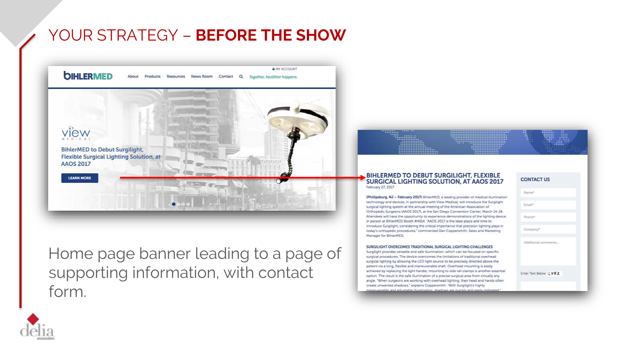

Home page banner leading to a page of supporting information, with contact form.

#### BIHLERMED TO DEBUT SURGILIGHT, FLEXIBLE<br>SURGICAL LIGHTING SOLUTION, AT AAOS 2017 February 27, 2017

(Phillipsburg, NJ - February 2017) BihlerMED, a leading provider of medical illumination technology and devices, in partnership with View Medical, will introduce the Surgilight surgical lighting system at the annual meeting of the American Association of Orthopedic Surgeons (AAOS 2017), at the San Diego Convention Center, March 14-18. Attendees will have the opportunity to experience demonstrations of the lighting device in person at BihlerMED Booth #4914, "AAOS 2017 is the ideal place and time to introduce Surgilight, considering the critical importance that precision lighting plays in today's orthopedic procedures," commented Dan Coppersmith, Sales and Marketing Manager for BihlerMED.

#### SURGILIGHT OVERCOMES TRADITIONAL SURGICAL LIGHTING CHALLENGES

Surgilight provides versatile and safe illumination, which can be focused on specific surgical procedures. The device overcomes the limitations of traditional overhead surgical lighting by allowing the LED light source to be precisely directed above the patient via a long, flexible and maneuverable shaft. Overhead mounting is easily achieved by replacing the light handle; mounting to side rail clamps is another essential option. The result is the safe illumination of a precise surgical area from virtually any angle. "When surgeons are working with overhead lighting, their head and hands often create unwanted shadows," explains Coppersmith. "With Surgilight's highly werable and adjustable illumination, shadows are quickly and easily mitigated.

#### **CONTACT US**



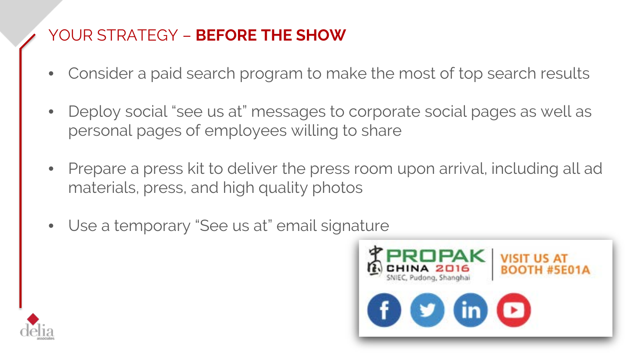- Consider a paid search program to make the most of top search results
- Deploy social "see us at" messages to corporate social pages as well as personal pages of employees willing to share
- Prepare a press kit to deliver the press room upon arrival, including all ad materials, press, and high quality photos
- Use a temporary "See us at" email signature



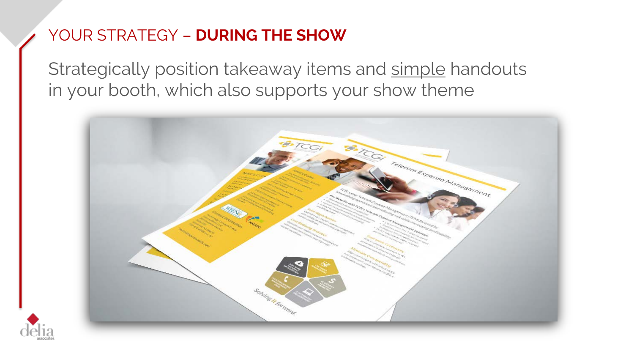#### YOUR STRATEGY – **DURING THE SHOW**

Strategically position takeaway items and simple handouts in your booth, which also supports your show theme



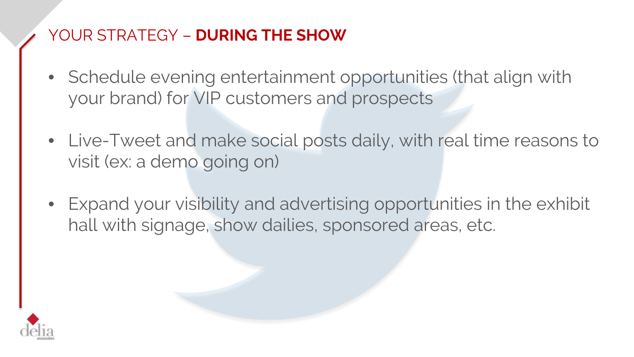#### YOUR STRATEGY – **DURING THE SHOW**

- Schedule evening entertainment opportunities (that align with your brand) for VIP customers and prospects
- Live-Tweet and make social posts daily, with real time reasons to visit (ex: a demo going on)
- Expand your visibility and advertising opportunities in the exhibit hall with signage, show dailies, sponsored areas, etc.

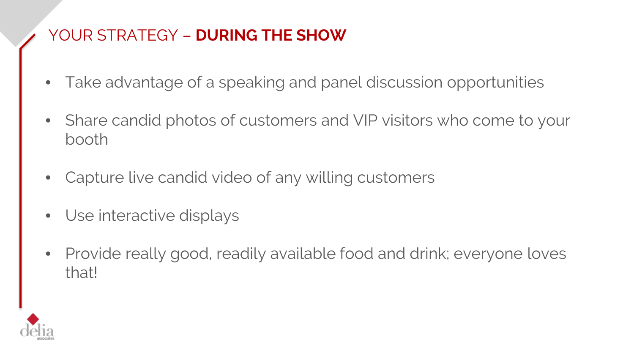#### YOUR STRATEGY – **DURING THE SHOW**

- Take advantage of a speaking and panel discussion opportunities
- Share candid photos of customers and VIP visitors who come to your booth
- Capture live candid video of any willing customers
- Use interactive displays
- Provide really good, readily available food and drink; everyone loves that!

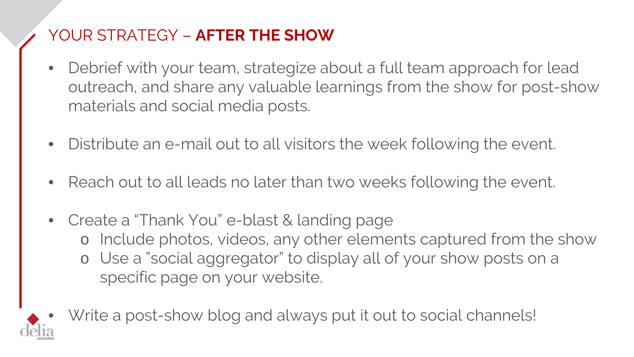#### YOUR STRATEGY – **AFTER THE SHOW**

- Debrief with your team, strategize about a full team approach for lead outreach, and share any valuable learnings from the show for post-show materials and social media posts.
- Distribute an e-mail out to all visitors the week following the event.
- Reach out to all leads no later than two weeks following the event.
- Create a "Thank You" e-blast & landing page o Include photos, videos, any other elements captured from the show o Use a "social aggregator" to display all of your show posts on a specific page on your website.



Write a post-show blog and always put it out to social channels!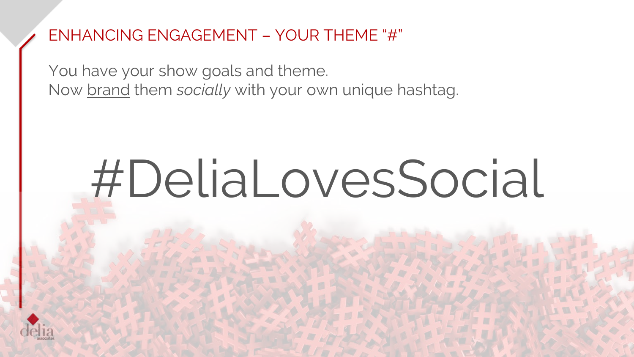#### ENHANCING ENGAGEMENT – YOUR THEME "#"

You have your show goals and theme. Now brand them *socially* with your own unique hashtag.

# #DeliaLovesSocial

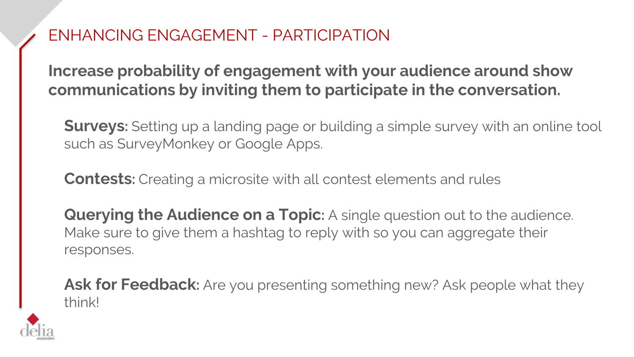#### ENHANCING ENGAGEMENT - PARTICIPATION

**Increase probability of engagement with your audience around show communications by inviting them to participate in the conversation.**

**Surveys:** Setting up a landing page or building a simple survey with an online tool such as SurveyMonkey or Google Apps.

**Contests:** Creating a microsite with all contest elements and rules

**Querying the Audience on a Topic:** A single question out to the audience. Make sure to give them a hashtag to reply with so you can aggregate their responses.

**Ask for Feedback:** Are you presenting something new? Ask people what they think!

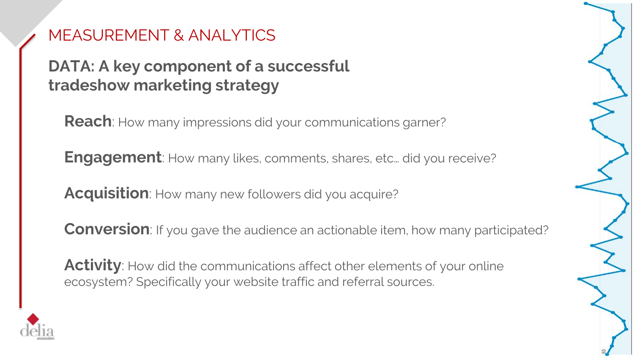#### MEASUREMENT & ANALYTICS

#### **DATA: A key component of a successful tradeshow marketing strategy**

**Reach**: How many impressions did your communications garner?

**Engagement**: How many likes, comments, shares, etc... did you receive?

**Acquisition**: How many new followers did you acquire?

**Conversion**: If you gave the audience an actionable item, how many participated?

**Activity**: How did the communications affect other elements of your online ecosystem? Specifically your website traffic and referral sources.



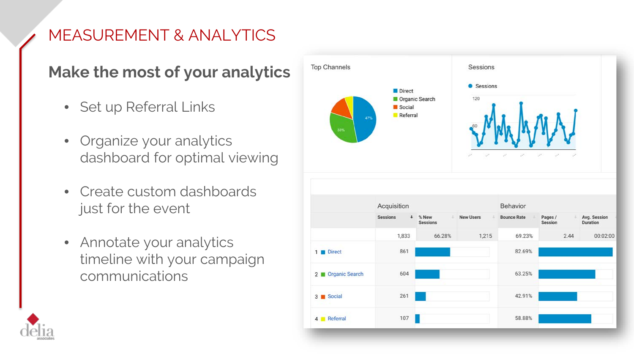### MEASUREMENT & ANALYTICS

#### **Make the most of your analytics**

- Set up Referral Links
- Organize your analytics dashboard for optimal viewing
- Create custom dashboards just for the event
- Annotate your analytics timeline with your campaign communications



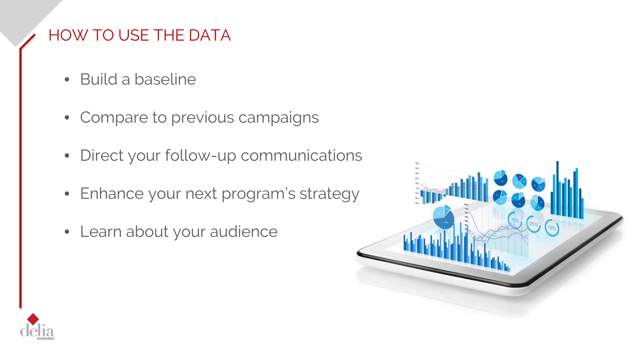#### HOW TO USE THE DATA

- Build a baseline
- Compare to previous campaigns
- Direct your follow-up communications
- Enhance your next program's strategy
- Learn about your audience